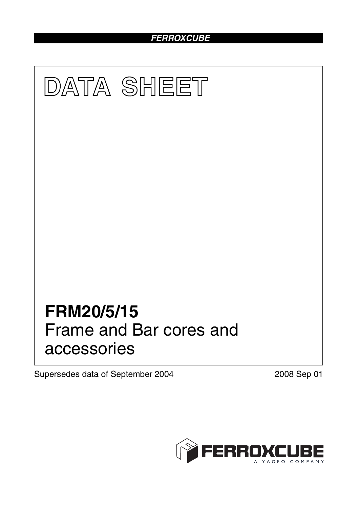# *FERROXCUBE*



Supersedes data of September 2004 2008 Sep 01

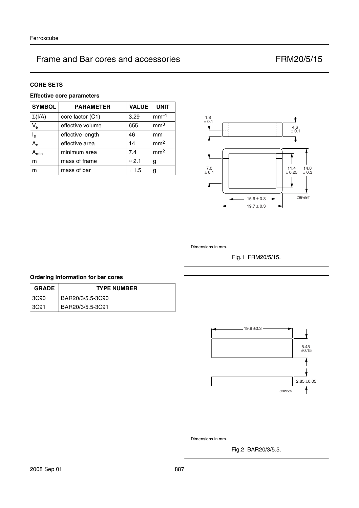#### **CORE SETS**

## **Effective core parameters**

| <b>SYMBOL</b> | <b>PARAMETER</b> | <b>VALUE</b>  | <b>UNIT</b>     |
|---------------|------------------|---------------|-----------------|
| $\Sigma(I/A)$ | core factor (C1) | 3.29          | $mm-1$          |
| $V_{e}$       | effective volume | 655           | mm <sup>3</sup> |
| $I_e$         | effective length | 46            | mm              |
| $A_{\rm e}$   | effective area   | 14            | mm <sup>2</sup> |
| $A_{min}$     | minimum area     | 7.4           | mm <sup>2</sup> |
| m             | mass of frame    | $\approx$ 2.1 | g               |
| m             | mass of bar      | $\approx 1.5$ | g               |



Fig.1 FRM20/5/15.

## **Ordering information for bar cores**

| <b>GRADE</b> | <b>TYPE NUMBER</b> |
|--------------|--------------------|
| 3C90         | BAR20/3/5.5-3C90   |
| 3C91         | BAR20/3/5.5-3C91   |

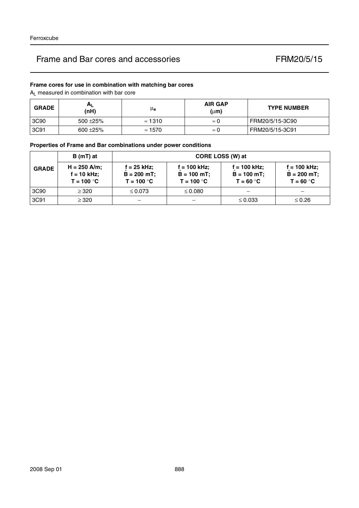## **Frame cores for use in combination with matching bar cores**

AL measured in combination with bar core

| <b>GRADE</b> | $H_{L}$<br>(nH) | μe             | <b>AIR GAP</b><br>$(\mu m)$ | <b>TYPE NUMBER</b> |
|--------------|-----------------|----------------|-----------------------------|--------------------|
| 3C90         | $500 + 25%$     | $\approx$ 1310 | $\approx 0$                 | FRM20/5/15-3C90    |
| 3C91         | $600 + 25%$     | $\approx$ 1570 | $\approx 0$                 | FRM20/5/15-3C91    |

## **Properties of Frame and Bar combinations under power conditions**

|              | $B(mT)$ at                                      | CORE LOSS (W) at                             |                                                 |                                               |                                                 |  |
|--------------|-------------------------------------------------|----------------------------------------------|-------------------------------------------------|-----------------------------------------------|-------------------------------------------------|--|
| <b>GRADE</b> | $H = 250$ A/m;<br>$f = 10$ kHz;<br>$T = 100 °C$ | f = 25 kHz;<br>$B = 200$ mT;<br>$T = 100 °C$ | $f = 100$ kHz;<br>$B = 100$ mT;<br>$T = 100 °C$ | f = 100 kHz;<br>$B = 100 mT$ ;<br>$T = 60 °C$ | $f = 100$ kHz;<br>$B = 200 mT$ ;<br>$T = 60 °C$ |  |
| 3C90         | $\geq$ 320                                      | $\leq 0.073$                                 | $\leq 0.080$                                    |                                               |                                                 |  |
| 3C91         | $\geq$ 320                                      |                                              |                                                 | $\leq 0.033$                                  | $\leq 0.26$                                     |  |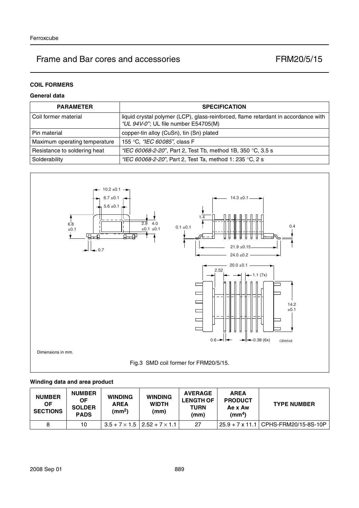# **COIL FORMERS**

## **General data**

| <b>PARAMETER</b>              | <b>SPECIFICATION</b>                                                                                                       |
|-------------------------------|----------------------------------------------------------------------------------------------------------------------------|
| Coil former material          | liquid crystal polymer (LCP), glass-reinforced, flame retardant in accordance with<br>"UL 94V-0"; UL file number E54705(M) |
| Pin material                  | copper-tin alloy (CuSn), tin (Sn) plated                                                                                   |
| Maximum operating temperature | 155 °C, "IEC 60085", class F                                                                                               |
| Resistance to soldering heat  | "IEC 60068-2-20", Part 2, Test Tb, method 1B, 350 °C, 3.5 s                                                                |
| Solderability                 | "IEC 60068-2-20", Part 2, Test Ta, method 1: 235 °C, 2 s                                                                   |



#### **Winding data and area product**

| <b>NUMBER</b><br>ΟF<br><b>SECTIONS</b> | <b>NUMBER</b><br><b>OF</b><br><b>SOLDER</b><br><b>PADS</b> | <b>WINDING</b><br><b>AREA</b><br>(mm <sup>2</sup> ) | <b>WINDING</b><br><b>WIDTH</b><br>(mm)       | <b>AVERAGE</b><br><b>LENGTH OF</b><br><b>TURN</b><br>(mm) | <b>AREA</b><br><b>PRODUCT</b><br>Ae x Aw<br>(mm <sup>4</sup> ) | <b>TYPE NUMBER</b>                     |
|----------------------------------------|------------------------------------------------------------|-----------------------------------------------------|----------------------------------------------|-----------------------------------------------------------|----------------------------------------------------------------|----------------------------------------|
| 8                                      | 10                                                         |                                                     | $3.5 + 7 \times 1.5$   2.52 + $7 \times 1.1$ | 27                                                        |                                                                | 25.9 + 7 x 11.1   CPHS-FRM20/15-8S-10P |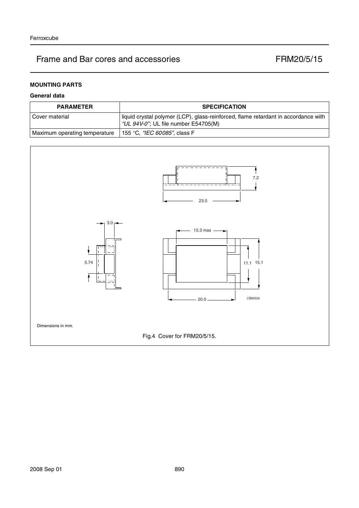# **MOUNTING PARTS**

## **General data**

| <b>PARAMETER</b>              | <b>SPECIFICATION</b>                                                                                                       |
|-------------------------------|----------------------------------------------------------------------------------------------------------------------------|
| l Cover material              | liquid crystal polymer (LCP), glass-reinforced, flame retardant in accordance with<br>"UL 94V-0"; UL file number E54705(M) |
| Maximum operating temperature | 155 °C, <i>"IEC 60085"</i> , class F                                                                                       |